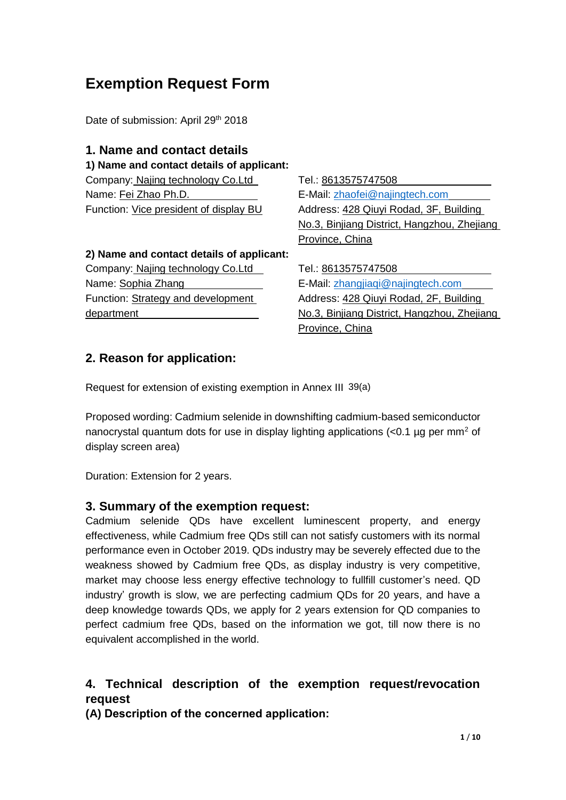# **Exemption Request Form**

Date of submission: April 29<sup>th</sup> 2018

### **1. Name and contact details**

**1) Name and contact details of applicant:** 

Company: Najing technology Co.Ltd Tel.: 8613575747508 Name: Fei Zhao Ph.D. **E-Mail:** zhaofei@najingtech.com

Function: Vice president of display BU Address: 428 Qiuyi Rodad, 3F, Building No.3, Binjiang District, Hangzhou, Zhejiang Province, China

### **2) Name and contact details of applicant:**

Company: Najing technology Co.Ltd Tel.: 8613575747508 Name: Sophia Zhang **E-Mail:** zhangjiaqi@najingtech.com Function: Strategy and development department

Address: 428 Qiuyi Rodad, 2F, Building No.3, Binjiang District, Hangzhou, Zhejiang Province, China

# **2. Reason for application:**

Request for extension of existing exemption in Annex III 39(a)

Proposed wording: Cadmium selenide in downshifting cadmium-based semiconductor nanocrystal quantum dots for use in display lighting applications (<0.1 µg per mm<sup>2</sup> of display screen area)

Duration: Extension for 2 years.

# **3. Summary of the exemption request:**

Cadmium selenide QDs have excellent luminescent property, and energy effectiveness, while Cadmium free QDs still can not satisfy customers with its normal performance even in October 2019. QDs industry may be severely effected due to the weakness showed by Cadmium free QDs, as display industry is very competitive, market may choose less energy effective technology to fullfill customer's need. QD industry' growth is slow, we are perfecting cadmium QDs for 20 years, and have a deep knowledge towards QDs, we apply for 2 years extension for QD companies to perfect cadmium free QDs, based on the information we got, till now there is no equivalent accomplished in the world.

# **4. Technical description of the exemption request/revocation request**

**(A) Description of the concerned application:**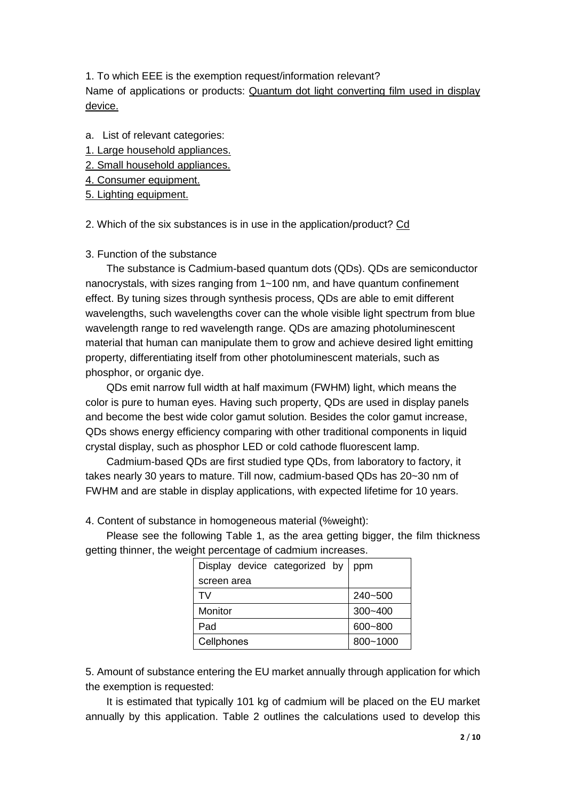1. To which EEE is the exemption request/information relevant? Name of applications or products: Quantum dot light converting film used in display device.

- a. List of relevant categories:
- 1. Large household appliances.
- 2. Small household appliances.
- 4. Consumer equipment.
- 5. Lighting equipment.

2. Which of the six substances is in use in the application/product? Cd

#### 3. Function of the substance

The substance is Cadmium-based quantum dots (QDs). QDs are semiconductor nanocrystals, with sizes ranging from 1~100 nm, and have quantum confinement effect. By tuning sizes through synthesis process, QDs are able to emit different wavelengths, such wavelengths cover can the whole visible light spectrum from blue wavelength range to red wavelength range. QDs are amazing photoluminescent material that human can manipulate them to grow and achieve desired light emitting property, differentiating itself from other photoluminescent materials, such as phosphor, or organic dye.

QDs emit narrow full width at half maximum (FWHM) light, which means the color is pure to human eyes. Having such property, QDs are used in display panels and become the best wide color gamut solution. Besides the color gamut increase, QDs shows energy efficiency comparing with other traditional components in liquid crystal display, such as phosphor LED or cold cathode fluorescent lamp.

Cadmium-based QDs are first studied type QDs, from laboratory to factory, it takes nearly 30 years to mature. Till now, cadmium-based QDs has 20~30 nm of FWHM and are stable in display applications, with expected lifetime for 10 years.

4. Content of substance in homogeneous material (%weight):

Please see the following Table 1, as the area getting bigger, the film thickness getting thinner, the weight percentage of cadmium increases.

| Display device categorized by | ppm         |
|-------------------------------|-------------|
| screen area                   |             |
| TV.                           | 240~500     |
| Monitor                       | $300 - 400$ |
| Pad                           | 600~800     |
| Cellphones                    | 800~1000    |

5. Amount of substance entering the EU market annually through application for which the exemption is requested:

It is estimated that typically 101 kg of cadmium will be placed on the EU market annually by this application. Table 2 outlines the calculations used to develop this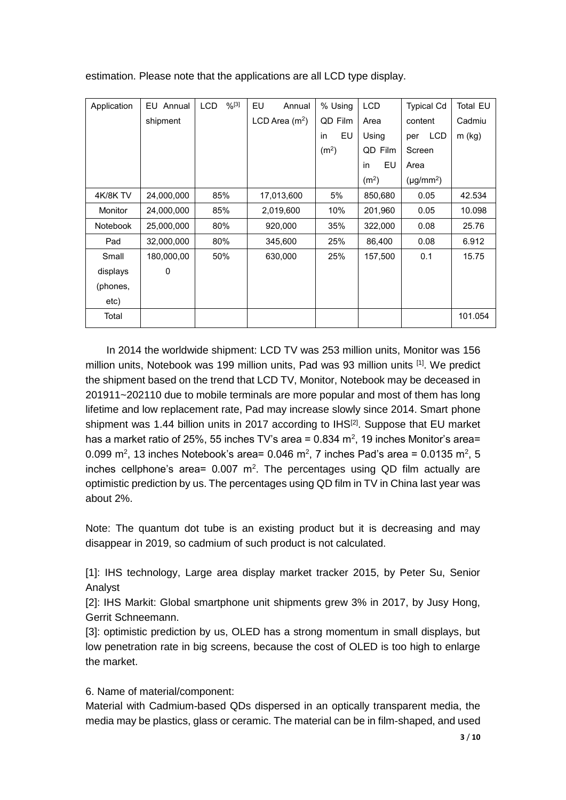| Application     | EU Annual  | $%^{[3]}$<br><b>LCD</b> | EU<br>Annual     | % Using           | <b>LCD</b>        | <b>Typical Cd</b> | <b>Total EU</b> |
|-----------------|------------|-------------------------|------------------|-------------------|-------------------|-------------------|-----------------|
|                 | shipment   |                         | LCD Area $(m^2)$ | QD Film           | Area              | content           | Cadmiu          |
|                 |            |                         |                  | EU<br>in          | Using             | <b>LCD</b><br>per | m (kg)          |
|                 |            |                         |                  | (m <sup>2</sup> ) | QD Film           | Screen            |                 |
|                 |            |                         |                  |                   | EU<br>in          | Area              |                 |
|                 |            |                         |                  |                   | (m <sup>2</sup> ) | $(\mu g/mm^2)$    |                 |
| <b>4K/8K TV</b> | 24,000,000 | 85%                     | 17,013,600       | 5%                | 850,680           | 0.05              | 42.534          |
| Monitor         | 24,000,000 | 85%                     | 2,019,600        | 10%               | 201,960           | 0.05              | 10.098          |
| <b>Notebook</b> | 25,000,000 | 80%                     | 920,000          | 35%               | 322,000           | 0.08              | 25.76           |
| Pad             | 32,000,000 | 80%                     | 345,600          | 25%               | 86,400            | 0.08              | 6.912           |
| Small           | 180,000,00 | 50%                     | 630,000          | 25%               | 157,500           | 0.1               | 15.75           |
| displays        | 0          |                         |                  |                   |                   |                   |                 |
| (phones,        |            |                         |                  |                   |                   |                   |                 |
| etc)            |            |                         |                  |                   |                   |                   |                 |
| Total           |            |                         |                  |                   |                   |                   | 101.054         |

estimation. Please note that the applications are all LCD type display.

In 2014 the worldwide shipment: LCD TV was 253 million units, Monitor was 156 million units, Notebook was 199 million units, Pad was 93 million units [1]. We predict the shipment based on the trend that LCD TV, Monitor, Notebook may be deceased in 201911~202110 due to mobile terminals are more popular and most of them has long lifetime and low replacement rate, Pad may increase slowly since 2014. Smart phone shipment was 1.44 billion units in 2017 according to  $IHS^{[2]}$ . Suppose that EU market has a market ratio of 25%, 55 inches TV's area = 0.834  $m^2$ , 19 inches Monitor's area= 0.099 m<sup>2</sup>, 13 inches Notebook's area= 0.046 m<sup>2</sup>, 7 inches Pad's area = 0.0135 m<sup>2</sup>, 5 inches cellphone's area=  $0.007$  m<sup>2</sup>. The percentages using QD film actually are optimistic prediction by us. The percentages using QD film in TV in China last year was about 2%.

Note: The quantum dot tube is an existing product but it is decreasing and may disappear in 2019, so cadmium of such product is not calculated.

[1]: IHS technology, Large area display market tracker 2015, by Peter Su, Senior Analyst

[2]: IHS Markit: Global smartphone unit shipments grew 3% in 2017, by Jusy Hong, Gerrit Schneemann.

[3]: optimistic prediction by us, OLED has a strong momentum in small displays, but low penetration rate in big screens, because the cost of OLED is too high to enlarge the market.

6. Name of material/component:

Material with Cadmium-based QDs dispersed in an optically transparent media, the media may be plastics, glass or ceramic. The material can be in film-shaped, and used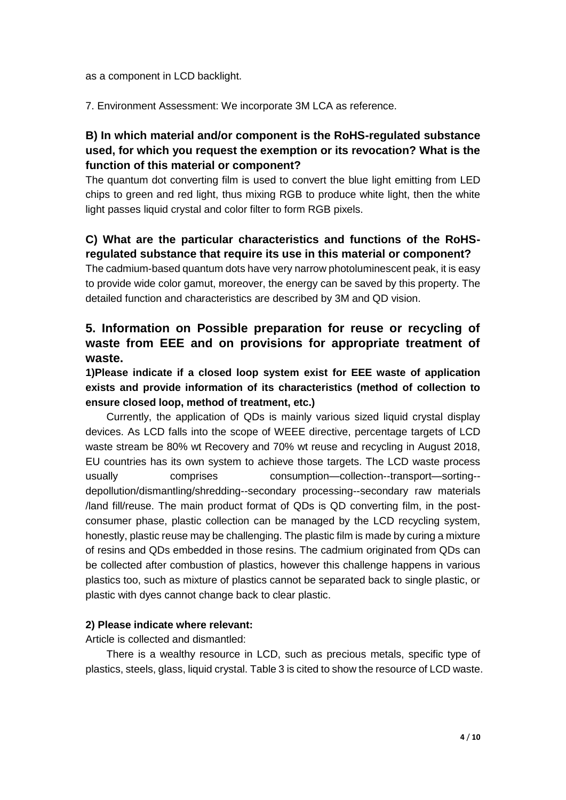as a component in LCD backlight.

7. Environment Assessment: We incorporate 3M LCA as reference.

# **B) In which material and/or component is the RoHS-regulated substance used, for which you request the exemption or its revocation? What is the function of this material or component?**

The quantum dot converting film is used to convert the blue light emitting from LED chips to green and red light, thus mixing RGB to produce white light, then the white light passes liquid crystal and color filter to form RGB pixels.

# **C) What are the particular characteristics and functions of the RoHSregulated substance that require its use in this material or component?**

The cadmium-based quantum dots have very narrow photoluminescent peak, it is easy to provide wide color gamut, moreover, the energy can be saved by this property. The detailed function and characteristics are described by 3M and QD vision.

# **5. Information on Possible preparation for reuse or recycling of waste from EEE and on provisions for appropriate treatment of waste.**

**1)Please indicate if a closed loop system exist for EEE waste of application exists and provide information of its characteristics (method of collection to ensure closed loop, method of treatment, etc.)** 

Currently, the application of QDs is mainly various sized liquid crystal display devices. As LCD falls into the scope of WEEE directive, percentage targets of LCD waste stream be 80% wt Recovery and 70% wt reuse and recycling in August 2018, EU countries has its own system to achieve those targets. The LCD waste process usually comprises consumption—collection--transport—sorting- depollution/dismantling/shredding--secondary processing--secondary raw materials /land fill/reuse. The main product format of QDs is QD converting film, in the postconsumer phase, plastic collection can be managed by the LCD recycling system, honestly, plastic reuse may be challenging. The plastic film is made by curing a mixture of resins and QDs embedded in those resins. The cadmium originated from QDs can be collected after combustion of plastics, however this challenge happens in various plastics too, such as mixture of plastics cannot be separated back to single plastic, or plastic with dyes cannot change back to clear plastic.

### **2) Please indicate where relevant:**

Article is collected and dismantled:

There is a wealthy resource in LCD, such as precious metals, specific type of plastics, steels, glass, liquid crystal. Table 3 is cited to show the resource of LCD waste.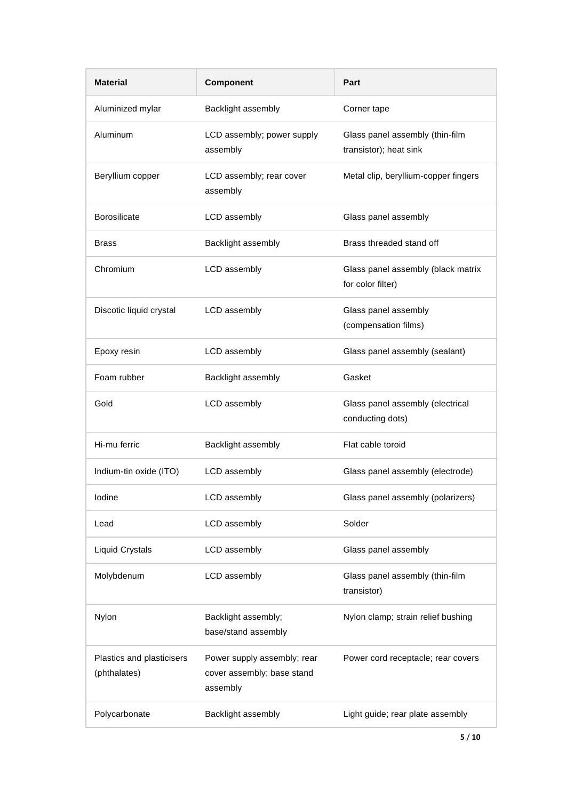| <b>Material</b>                           | Component                                                             | Part                                                      |  |  |
|-------------------------------------------|-----------------------------------------------------------------------|-----------------------------------------------------------|--|--|
| Aluminized mylar                          | Backlight assembly                                                    | Corner tape                                               |  |  |
| Aluminum                                  | LCD assembly; power supply<br>assembly                                | Glass panel assembly (thin-film<br>transistor); heat sink |  |  |
| Beryllium copper                          | LCD assembly; rear cover<br>assembly                                  | Metal clip, beryllium-copper fingers                      |  |  |
| <b>Borosilicate</b>                       | LCD assembly                                                          | Glass panel assembly                                      |  |  |
| Brass                                     | Backlight assembly                                                    | Brass threaded stand off                                  |  |  |
| Chromium                                  | LCD assembly                                                          | Glass panel assembly (black matrix<br>for color filter)   |  |  |
| Discotic liquid crystal                   | LCD assembly                                                          | Glass panel assembly<br>(compensation films)              |  |  |
| Epoxy resin                               | LCD assembly                                                          | Glass panel assembly (sealant)                            |  |  |
| Foam rubber                               | Backlight assembly                                                    | Gasket                                                    |  |  |
| Gold                                      | LCD assembly                                                          | Glass panel assembly (electrical<br>conducting dots)      |  |  |
| Hi-mu ferric                              | Backlight assembly                                                    | Flat cable toroid                                         |  |  |
| Indium-tin oxide (ITO)                    | LCD assembly                                                          | Glass panel assembly (electrode)                          |  |  |
| lodine                                    | LCD assembly                                                          | Glass panel assembly (polarizers)                         |  |  |
| Lead                                      | LCD assembly                                                          | Solder                                                    |  |  |
| <b>Liquid Crystals</b>                    | LCD assembly                                                          | Glass panel assembly                                      |  |  |
| Molybdenum                                | LCD assembly                                                          | Glass panel assembly (thin-film<br>transistor)            |  |  |
| Nylon                                     | Backlight assembly;<br>base/stand assembly                            | Nylon clamp; strain relief bushing                        |  |  |
| Plastics and plasticisers<br>(phthalates) | Power supply assembly; rear<br>cover assembly; base stand<br>assembly | Power cord receptacle; rear covers                        |  |  |
| Polycarbonate                             | Backlight assembly                                                    | Light guide; rear plate assembly                          |  |  |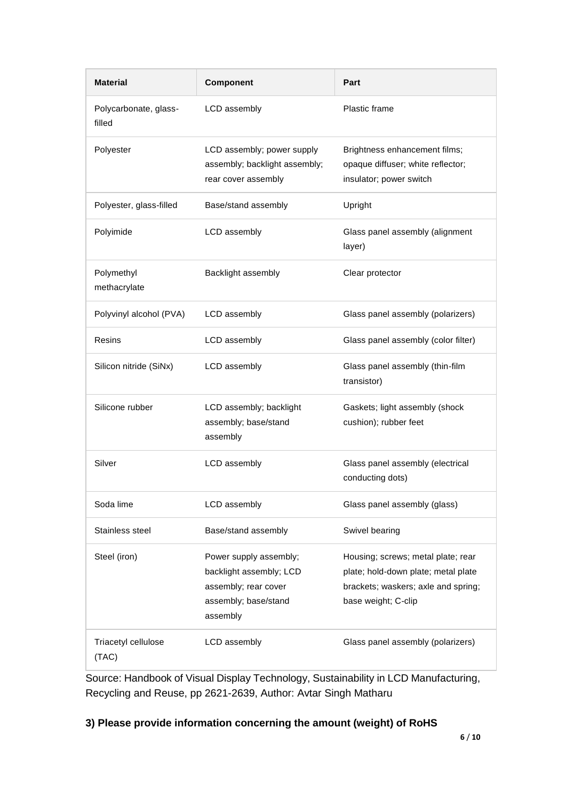| <b>Material</b>                 | <b>Component</b>                                                                                              | Part                                                                                                                                    |  |
|---------------------------------|---------------------------------------------------------------------------------------------------------------|-----------------------------------------------------------------------------------------------------------------------------------------|--|
| Polycarbonate, glass-<br>filled | LCD assembly                                                                                                  | Plastic frame                                                                                                                           |  |
| Polyester                       | LCD assembly; power supply<br>assembly; backlight assembly;<br>rear cover assembly                            | Brightness enhancement films;<br>opaque diffuser; white reflector;<br>insulator; power switch                                           |  |
| Polyester, glass-filled         | Base/stand assembly                                                                                           | Upright                                                                                                                                 |  |
| Polyimide                       | LCD assembly                                                                                                  | Glass panel assembly (alignment<br>layer)                                                                                               |  |
| Polymethyl<br>methacrylate      | Backlight assembly                                                                                            | Clear protector                                                                                                                         |  |
| Polyvinyl alcohol (PVA)         | LCD assembly                                                                                                  | Glass panel assembly (polarizers)                                                                                                       |  |
| Resins                          | LCD assembly                                                                                                  | Glass panel assembly (color filter)                                                                                                     |  |
| Silicon nitride (SiNx)          | LCD assembly                                                                                                  | Glass panel assembly (thin-film<br>transistor)                                                                                          |  |
| Silicone rubber                 | LCD assembly; backlight<br>assembly; base/stand<br>assembly                                                   | Gaskets; light assembly (shock<br>cushion); rubber feet                                                                                 |  |
| Silver                          | LCD assembly                                                                                                  | Glass panel assembly (electrical<br>conducting dots)                                                                                    |  |
| Soda lime                       | LCD assembly                                                                                                  | Glass panel assembly (glass)                                                                                                            |  |
| Stainless steel                 | Base/stand assembly                                                                                           | Swivel bearing                                                                                                                          |  |
| Steel (iron)                    | Power supply assembly;<br>backlight assembly; LCD<br>assembly; rear cover<br>assembly; base/stand<br>assembly | Housing; screws; metal plate; rear<br>plate; hold-down plate; metal plate<br>brackets; waskers; axle and spring;<br>base weight; C-clip |  |
| Triacetyl cellulose<br>(TAC)    | LCD assembly                                                                                                  | Glass panel assembly (polarizers)                                                                                                       |  |

Source: Handbook of Visual Display Technology, Sustainability in LCD Manufacturing, Recycling and Reuse, pp 2621-2639, Author: Avtar Singh Matharu

# **3) Please provide information concerning the amount (weight) of RoHS**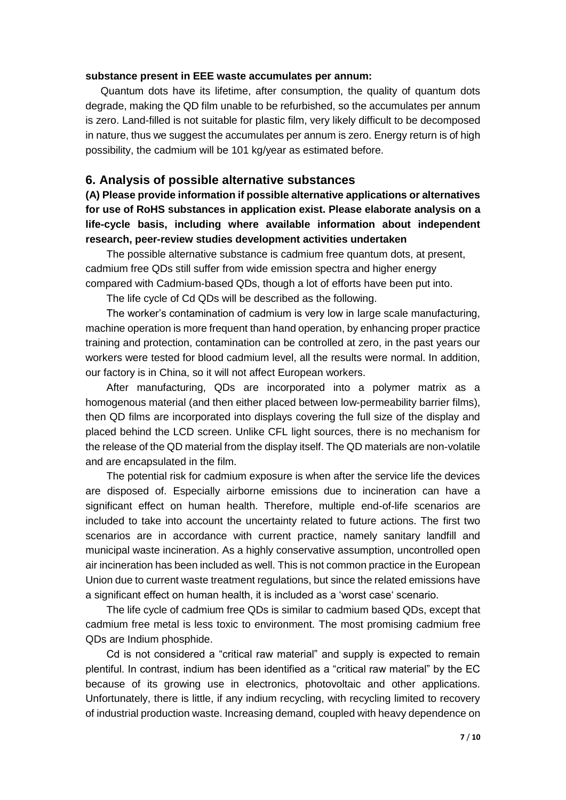#### **substance present in EEE waste accumulates per annum:**

Quantum dots have its lifetime, after consumption, the quality of quantum dots degrade, making the QD film unable to be refurbished, so the accumulates per annum is zero. Land-filled is not suitable for plastic film, very likely difficult to be decomposed in nature, thus we suggest the accumulates per annum is zero. Energy return is of high possibility, the cadmium will be 101 kg/year as estimated before.

#### **6. Analysis of possible alternative substances**

**(A) Please provide information if possible alternative applications or alternatives for use of RoHS substances in application exist. Please elaborate analysis on a life-cycle basis, including where available information about independent research, peer-review studies development activities undertaken** 

The possible alternative substance is cadmium free quantum dots, at present, cadmium free QDs still suffer from wide emission spectra and higher energy compared with Cadmium-based QDs, though a lot of efforts have been put into.

The life cycle of Cd QDs will be described as the following.

The worker's contamination of cadmium is very low in large scale manufacturing, machine operation is more frequent than hand operation, by enhancing proper practice training and protection, contamination can be controlled at zero, in the past years our workers were tested for blood cadmium level, all the results were normal. In addition, our factory is in China, so it will not affect European workers.

After manufacturing, QDs are incorporated into a polymer matrix as a homogenous material (and then either placed between low-permeability barrier films), then QD films are incorporated into displays covering the full size of the display and placed behind the LCD screen. Unlike CFL light sources, there is no mechanism for the release of the QD material from the display itself. The QD materials are non-volatile and are encapsulated in the film.

The potential risk for cadmium exposure is when after the service life the devices are disposed of. Especially airborne emissions due to incineration can have a significant effect on human health. Therefore, multiple end-of-life scenarios are included to take into account the uncertainty related to future actions. The first two scenarios are in accordance with current practice, namely sanitary landfill and municipal waste incineration. As a highly conservative assumption, uncontrolled open air incineration has been included as well. This is not common practice in the European Union due to current waste treatment regulations, but since the related emissions have a significant effect on human health, it is included as a 'worst case' scenario.

The life cycle of cadmium free QDs is similar to cadmium based QDs, except that cadmium free metal is less toxic to environment. The most promising cadmium free QDs are Indium phosphide.

Cd is not considered a "critical raw material" and supply is expected to remain plentiful. In contrast, indium has been identified as a "critical raw material" by the EC because of its growing use in electronics, photovoltaic and other applications. Unfortunately, there is little, if any indium recycling, with recycling limited to recovery of industrial production waste. Increasing demand, coupled with heavy dependence on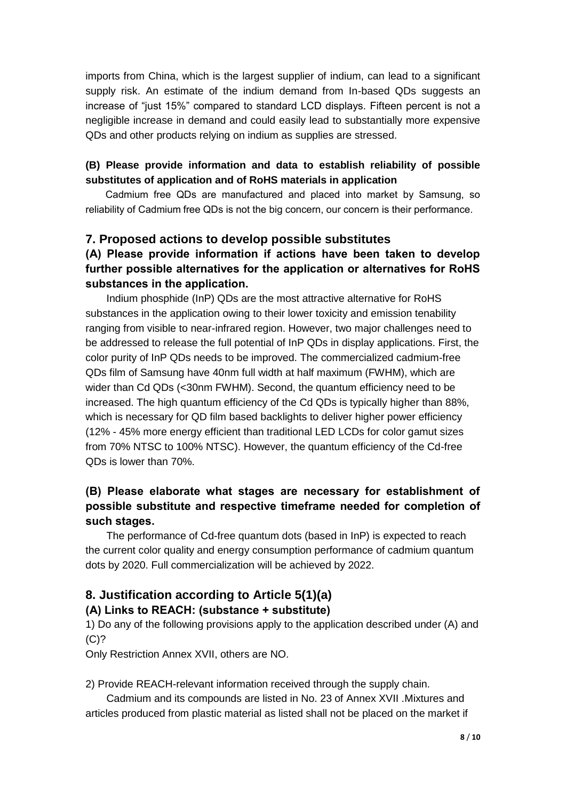imports from China, which is the largest supplier of indium, can lead to a significant supply risk. An estimate of the indium demand from In-based QDs suggests an increase of "just 15%" compared to standard LCD displays. Fifteen percent is not a negligible increase in demand and could easily lead to substantially more expensive QDs and other products relying on indium as supplies are stressed.

### **(B) Please provide information and data to establish reliability of possible substitutes of application and of RoHS materials in application**

Cadmium free QDs are manufactured and placed into market by Samsung, so reliability of Cadmium free QDs is not the big concern, our concern is their performance.

### **7. Proposed actions to develop possible substitutes**

# **(A) Please provide information if actions have been taken to develop further possible alternatives for the application or alternatives for RoHS substances in the application.**

Indium phosphide (InP) QDs are the most attractive alternative for RoHS substances in the application owing to their lower toxicity and emission tenability ranging from visible to near-infrared region. However, two major challenges need to be addressed to release the full potential of InP QDs in display applications. First, the color purity of InP QDs needs to be improved. The commercialized cadmium-free QDs film of Samsung have 40nm full width at half maximum (FWHM), which are wider than Cd QDs (<30nm FWHM). Second, the quantum efficiency need to be increased. The high quantum efficiency of the Cd QDs is typically higher than 88%, which is necessary for QD film based backlights to deliver higher power efficiency (12% - 45% more energy efficient than traditional LED LCDs for color gamut sizes from 70% NTSC to 100% NTSC). However, the quantum efficiency of the Cd-free QDs is lower than 70%.

# **(B) Please elaborate what stages are necessary for establishment of possible substitute and respective timeframe needed for completion of such stages.**

The performance of Cd-free quantum dots (based in InP) is expected to reach the current color quality and energy consumption performance of cadmium quantum dots by 2020. Full commercialization will be achieved by 2022.

### **8. Justification according to Article 5(1)(a)**

### **(A) Links to REACH: (substance + substitute)**

1) Do any of the following provisions apply to the application described under (A) and  $(C)$ ?

Only Restriction Annex XVII, others are NO.

2) Provide REACH-relevant information received through the supply chain.

Cadmium and its compounds are listed in No. 23 of Annex XVII .Mixtures and articles produced from plastic material as listed shall not be placed on the market if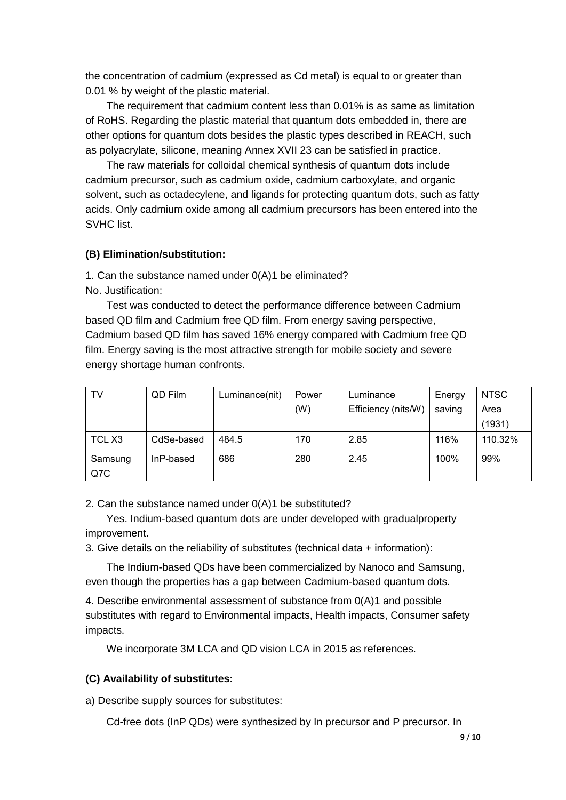the concentration of cadmium (expressed as Cd metal) is equal to or greater than 0.01 % by weight of the plastic material.

The requirement that cadmium content less than 0.01% is as same as limitation of RoHS. Regarding the plastic material that quantum dots embedded in, there are other options for quantum dots besides the plastic types described in REACH, such as polyacrylate, silicone, meaning Annex XVII 23 can be satisfied in practice.

The raw materials for colloidal chemical synthesis of quantum dots include cadmium precursor, such as cadmium oxide, cadmium carboxylate, and organic solvent, such as octadecylene, and ligands for protecting quantum dots, such as fatty acids. Only cadmium oxide among all cadmium precursors has been entered into the SVHC list.

#### **(B) Elimination/substitution:**

1. Can the substance named under 0(A)1 be eliminated? No. Justification:

 Test was conducted to detect the performance difference between Cadmium based QD film and Cadmium free QD film. From energy saving perspective, Cadmium based QD film has saved 16% energy compared with Cadmium free QD film. Energy saving is the most attractive strength for mobile society and severe energy shortage human confronts.

| TV      | QD Film    | Luminance(nit) | Power | Luminance           | Energy | <b>NTSC</b> |
|---------|------------|----------------|-------|---------------------|--------|-------------|
|         |            |                | (W)   | Efficiency (nits/W) | saving | Area        |
|         |            |                |       |                     |        | (1931)      |
| TCL X3  | CdSe-based | 484.5          | 170   | 2.85                | 116%   | 110.32%     |
| Samsung | InP-based  | 686            | 280   | 2.45                | 100%   | 99%         |
| Q7C     |            |                |       |                     |        |             |

2. Can the substance named under 0(A)1 be substituted?

 Yes. Indium-based quantum dots are under developed with gradualproperty improvement.

3. Give details on the reliability of substitutes (technical data + information):

The Indium-based QDs have been commercialized by Nanoco and Samsung, even though the properties has a gap between Cadmium-based quantum dots.

4. Describe environmental assessment of substance from 0(A)1 and possible substitutes with regard to Environmental impacts, Health impacts, Consumer safety impacts.

We incorporate 3M LCA and QD vision LCA in 2015 as references.

#### **(C) Availability of substitutes:**

a) Describe supply sources for substitutes:

Cd-free dots (InP QDs) were synthesized by In precursor and P precursor. In